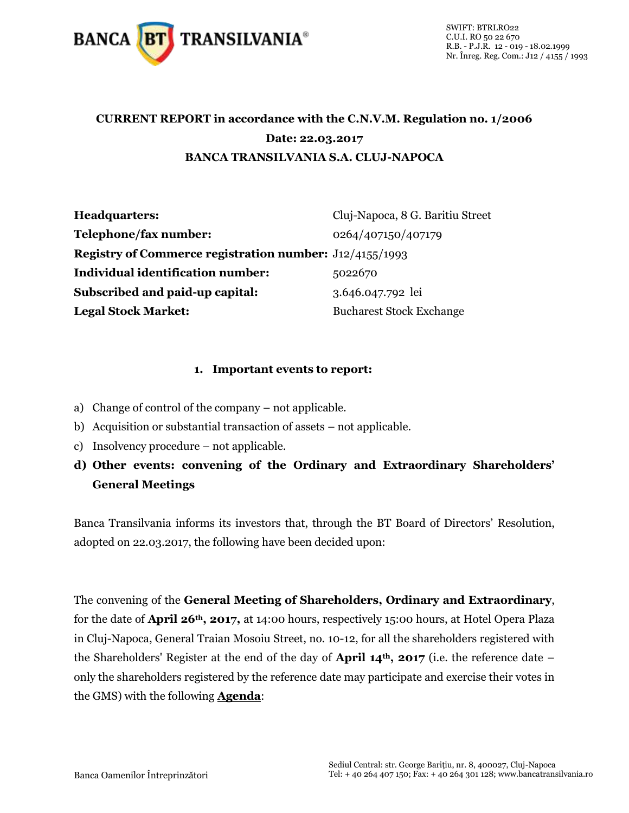

#### **CURRENT REPORT in accordance with the C.N.V.M. Regulation no. 1/2006 Date: 22.03.2017 BANCA TRANSILVANIA S.A. CLUJ-NAPOCA**

| Headquarters:                                                  | Cluj-Napoca, 8 G. Baritiu Street |
|----------------------------------------------------------------|----------------------------------|
| Telephone/fax number:                                          | 0264/407150/407179               |
| <b>Registry of Commerce registration number:</b> J12/4155/1993 |                                  |
| <b>Individual identification number:</b>                       | 5022670                          |
| Subscribed and paid-up capital:                                | 3.646.047.792 lei                |
| <b>Legal Stock Market:</b>                                     | <b>Bucharest Stock Exchange</b>  |

#### **1. Important events to report:**

- a) Change of control of the company not applicable.
- b) Acquisition or substantial transaction of assets not applicable.
- c) Insolvency procedure not applicable.
- **d) Other events: convening of the Ordinary and Extraordinary Shareholders' General Meetings**

Banca Transilvania informs its investors that, through the BT Board of Directors' Resolution, adopted on 22.03.2017, the following have been decided upon:

The convening of the **General Meeting of Shareholders, Ordinary and Extraordinary**, for the date of **April 26th, 2017,** at 14:00 hours, respectively 15:00 hours, at Hotel Opera Plaza in Cluj-Napoca, General Traian Mosoiu Street, no. 10-12, for all the shareholders registered with the Shareholders' Register at the end of the day of **April 14th, 2017** (i.e. the reference date – only the shareholders registered by the reference date may participate and exercise their votes in the GMS) with the following **Agenda**: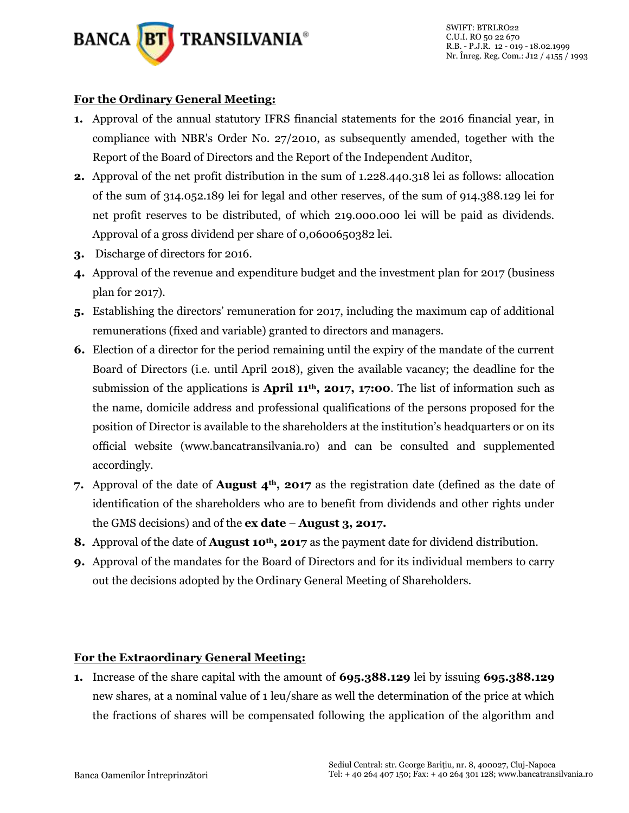

#### **For the Ordinary General Meeting:**

- **1.** Approval of the annual statutory IFRS financial statements for the 2016 financial year, in compliance with NBR's Order No. 27/2010, as subsequently amended, together with the Report of the Board of Directors and the Report of the Independent Auditor,
- **2.** Approval of the net profit distribution in the sum of 1.228.440.318 lei as follows: allocation of the sum of 314.052.189 lei for legal and other reserves, of the sum of 914.388.129 lei for net profit reserves to be distributed, of which 219.000.000 lei will be paid as dividends. Approval of a gross dividend per share of 0,0600650382 lei.
- **3.** Discharge of directors for 2016.
- **4.** Approval of the revenue and expenditure budget and the investment plan for 2017 (business plan for 2017).
- **5.** Establishing the directors' remuneration for 2017, including the maximum cap of additional remunerations (fixed and variable) granted to directors and managers.
- **6.** Election of a director for the period remaining until the expiry of the mandate of the current Board of Directors (i.e. until April 2018), given the available vacancy; the deadline for the submission of the applications is **April 11th, 2017, 17:00**. The list of information such as the name, domicile address and professional qualifications of the persons proposed for the position of Director is available to the shareholders at the institution's headquarters or on its official website (www.bancatransilvania.ro) and can be consulted and supplemented accordingly.
- **7.** Approval of the date of **August 4th, 2017** as the registration date (defined as the date of identification of the shareholders who are to benefit from dividends and other rights under the GMS decisions) and of the **ex date** – **August 3, 2017.**
- **8.** Approval of the date of **August 10th, 2017** as the payment date for dividend distribution.
- **9.** Approval of the mandates for the Board of Directors and for its individual members to carry out the decisions adopted by the Ordinary General Meeting of Shareholders.

#### **For the Extraordinary General Meeting:**

**1.** Increase of the share capital with the amount of **695.388.129** lei by issuing **695.388.129** new shares, at a nominal value of 1 leu/share as well the determination of the price at which the fractions of shares will be compensated following the application of the algorithm and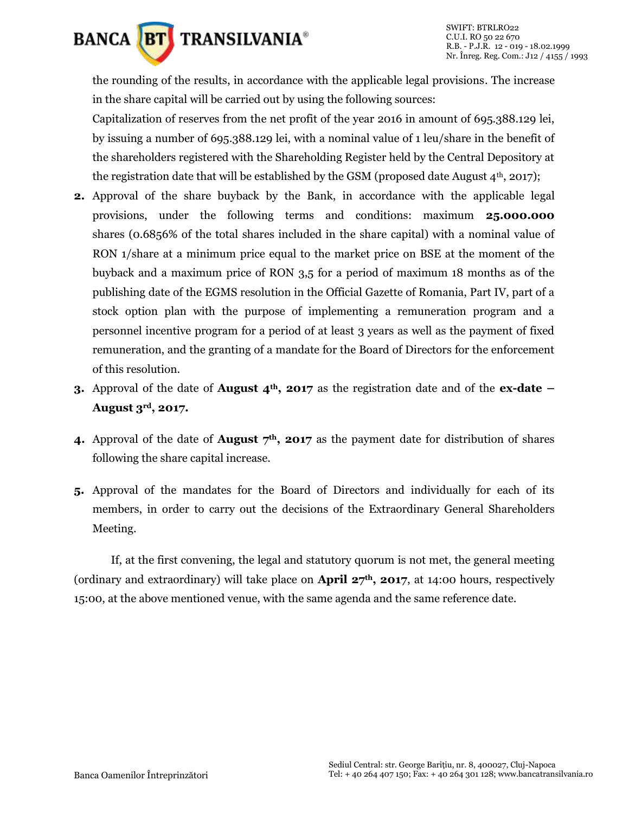

the rounding of the results, in accordance with the applicable legal provisions. The increase in the share capital will be carried out by using the following sources:

Capitalization of reserves from the net profit of the year 2016 in amount of 695.388.129 lei, by issuing a number of 695.388.129 lei, with a nominal value of 1 leu/share in the benefit of the shareholders registered with the Shareholding Register held by the Central Depository at the registration date that will be established by the GSM (proposed date August  $4<sup>th</sup>$ , 2017);

- **2.** Approval of the share buyback by the Bank, in accordance with the applicable legal provisions, under the following terms and conditions: maximum **25.000.000**  shares (0.6856% of the total shares included in the share capital) with a nominal value of RON 1/share at a minimum price equal to the market price on BSE at the moment of the buyback and a maximum price of RON 3,5 for a period of maximum 18 months as of the publishing date of the EGMS resolution in the Official Gazette of Romania, Part IV, part of a stock option plan with the purpose of implementing a remuneration program and a personnel incentive program for a period of at least 3 years as well as the payment of fixed remuneration, and the granting of a mandate for the Board of Directors for the enforcement of this resolution.
- **3.** Approval of the date of **August 4th, 2017** as the registration date and of the **ex-date – August 3rd, 2017.**
- **4.** Approval of the date of **August 7th, 2017** as the payment date for distribution of shares following the share capital increase.
- **5.** Approval of the mandates for the Board of Directors and individually for each of its members, in order to carry out the decisions of the Extraordinary General Shareholders Meeting.

If, at the first convening, the legal and statutory quorum is not met, the general meeting (ordinary and extraordinary) will take place on **April 27th, 2017**, at 14:00 hours, respectively 15:00, at the above mentioned venue, with the same agenda and the same reference date.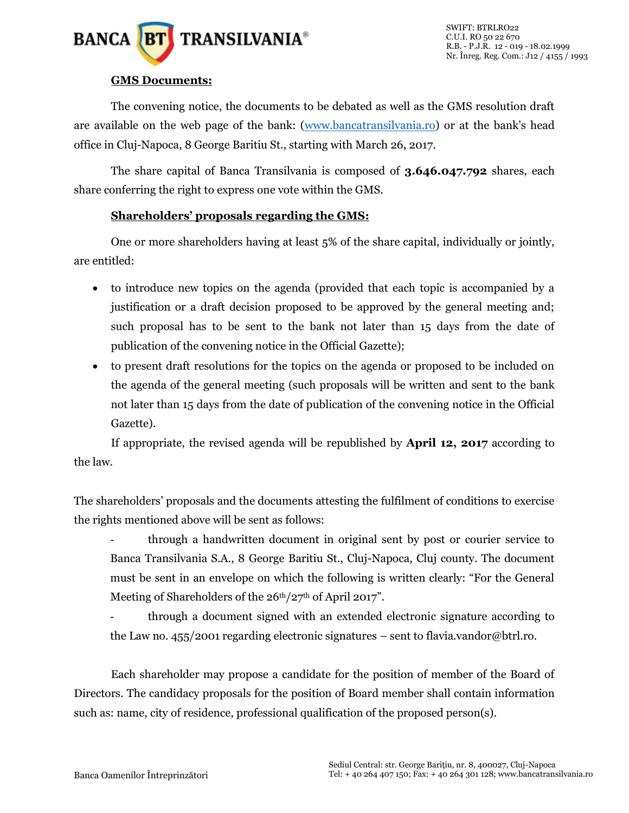

#### **GMS Documents:**

The convening notice, the documents to be debated as well as the GMS resolution draft are available on the web page of the bank: [\(www.bancatransilvania.ro\)](http://www.bancatransilvania.ro/) or at the bank's head office in Cluj-Napoca, 8 George Baritiu St., starting with March 26, 2017.

The share capital of Banca Transilvania is composed of **3.646.047.792** shares, each share conferring the right to express one vote within the GMS.

#### **Shareholders' proposals regarding the GMS:**

One or more shareholders having at least 5% of the share capital, individually or jointly, are entitled:

- to introduce new topics on the agenda (provided that each topic is accompanied by a justification or a draft decision proposed to be approved by the general meeting and; such proposal has to be sent to the bank not later than 15 days from the date of publication of the convening notice in the Official Gazette);
- to present draft resolutions for the topics on the agenda or proposed to be included on the agenda of the general meeting (such proposals will be written and sent to the bank not later than 15 days from the date of publication of the convening notice in the Official Gazette).

If appropriate, the revised agenda will be republished by **April 12, 2017** according to the law.

The shareholders' proposals and the documents attesting the fulfilment of conditions to exercise the rights mentioned above will be sent as follows:

- through a handwritten document in original sent by post or courier service to Banca Transilvania S.A., 8 George Baritiu St., Cluj-Napoca, Cluj county. The document must be sent in an envelope on which the following is written clearly: "For the General Meeting of Shareholders of the  $26<sup>th</sup>/27<sup>th</sup>$  of April 2017".

- through a document signed with an extended electronic signature according to the Law no. 455/2001 regarding electronic signatures – sent to flavia.vandor@btrl.ro.

Each shareholder may propose a candidate for the position of member of the Board of Directors. The candidacy proposals for the position of Board member shall contain information such as: name, city of residence, professional qualification of the proposed person(s).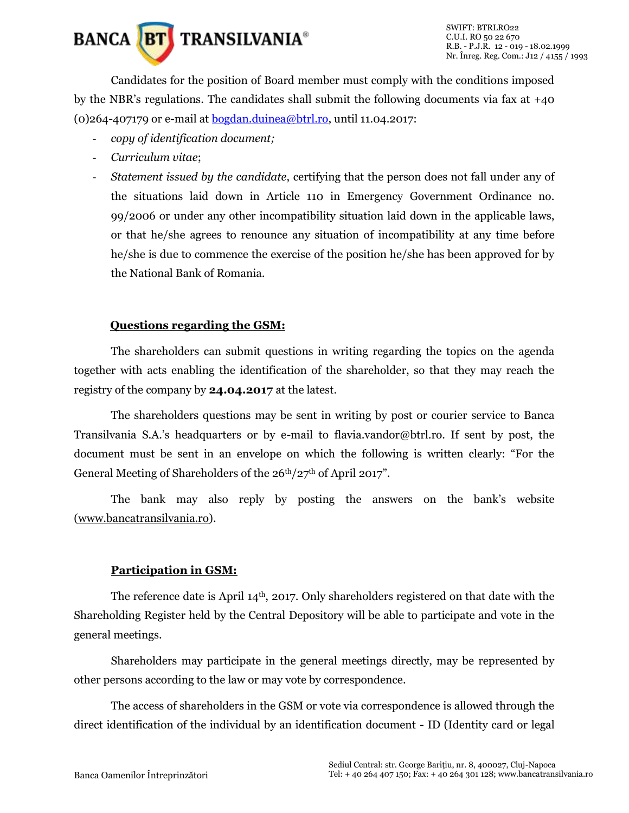

Candidates for the position of Board member must comply with the conditions imposed by the NBR's regulations. The candidates shall submit the following documents via fax at +40 (0)264-407179 or e-mail at [bogdan.duinea@btrl.ro,](mailto:bogdan.duinea@btrl.ro) until 11.04.2017:

- *copy of identification document;*
- *Curriculum vitae*;
- *Statement issued by the candidate*, certifying that the person does not fall under any of the situations laid down in Article 110 in Emergency Government Ordinance no. 99/2006 or under any other incompatibility situation laid down in the applicable laws, or that he/she agrees to renounce any situation of incompatibility at any time before he/she is due to commence the exercise of the position he/she has been approved for by the National Bank of Romania.

#### **Questions regarding the GSM:**

The shareholders can submit questions in writing regarding the topics on the agenda together with acts enabling the identification of the shareholder, so that they may reach the registry of the company by **24.04.2017** at the latest.

The shareholders questions may be sent in writing by post or courier service to Banca Transilvania S.A.'s headquarters or by e-mail to flavia.vandor@btrl.ro. If sent by post, the document must be sent in an envelope on which the following is written clearly: "For the General Meeting of Shareholders of the 26<sup>th</sup>/27<sup>th</sup> of April 2017".

The bank may also reply by posting the answers on the bank's website [\(www.bancatransilvania.ro\)](http://www.bancatransilvania.ro/).

#### **Participation in GSM:**

The reference date is April  $14<sup>th</sup>$ , 2017. Only shareholders registered on that date with the Shareholding Register held by the Central Depository will be able to participate and vote in the general meetings.

Shareholders may participate in the general meetings directly, may be represented by other persons according to the law or may vote by correspondence.

The access of shareholders in the GSM or vote via correspondence is allowed through the direct identification of the individual by an identification document - ID (Identity card or legal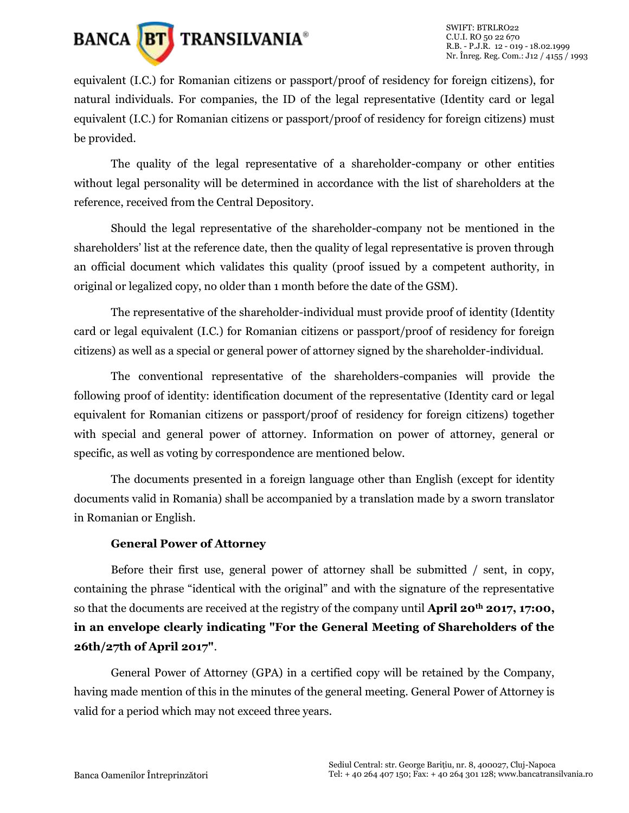

equivalent (I.C.) for Romanian citizens or passport/proof of residency for foreign citizens), for natural individuals. For companies, the ID of the legal representative (Identity card or legal equivalent (I.C.) for Romanian citizens or passport/proof of residency for foreign citizens) must be provided.

The quality of the legal representative of a shareholder-company or other entities without legal personality will be determined in accordance with the list of shareholders at the reference, received from the Central Depository.

Should the legal representative of the shareholder-company not be mentioned in the shareholders' list at the reference date, then the quality of legal representative is proven through an official document which validates this quality (proof issued by a competent authority, in original or legalized copy, no older than 1 month before the date of the GSM).

The representative of the shareholder-individual must provide proof of identity (Identity card or legal equivalent (I.C.) for Romanian citizens or passport/proof of residency for foreign citizens) as well as a special or general power of attorney signed by the shareholder-individual.

The conventional representative of the shareholders-companies will provide the following proof of identity: identification document of the representative (Identity card or legal equivalent for Romanian citizens or passport/proof of residency for foreign citizens) together with special and general power of attorney. Information on power of attorney, general or specific, as well as voting by correspondence are mentioned below.

The documents presented in a foreign language other than English (except for identity documents valid in Romania) shall be accompanied by a translation made by a sworn translator in Romanian or English.

#### **General Power of Attorney**

Before their first use, general power of attorney shall be submitted / sent, in copy, containing the phrase "identical with the original" and with the signature of the representative so that the documents are received at the registry of the company until **April 20th 2017, 17:00, in an envelope clearly indicating "For the General Meeting of Shareholders of the 26th/27th of April 2017"**.

General Power of Attorney (GPA) in a certified copy will be retained by the Company, having made mention of this in the minutes of the general meeting. General Power of Attorney is valid for a period which may not exceed three years.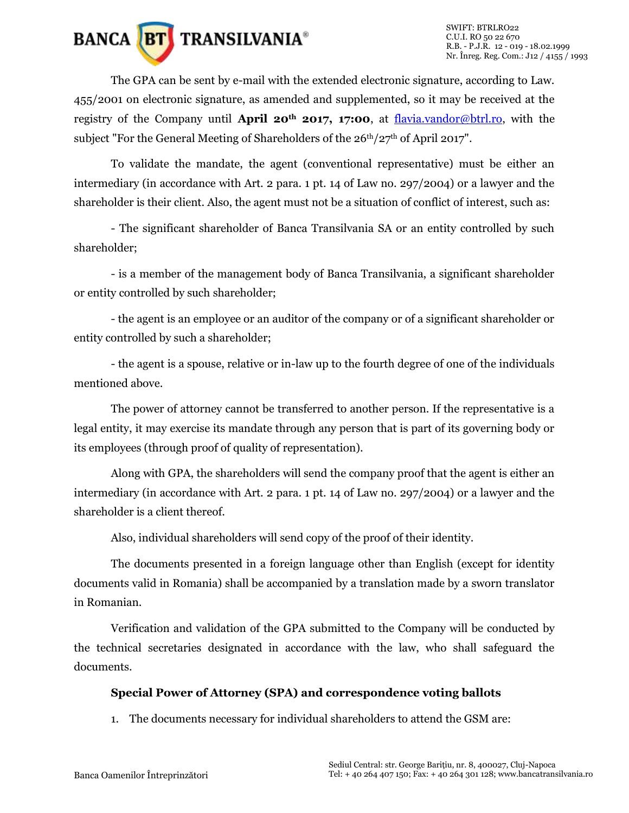# **BANCA BT** TRANSILVANIA<sup>®</sup>

The GPA can be sent by e-mail with the extended electronic signature, according to Law. 455/2001 on electronic signature, as amended and supplemented, so it may be received at the registry of the Company until **April 20th 2017, 17:00**, at [flavia.vandor@btrl.ro,](mailto:flavia.vandor@btrl.ro) with the subject "For the General Meeting of Shareholders of the  $26<sup>th</sup>/27<sup>th</sup>$  of April 2017".

To validate the mandate, the agent (conventional representative) must be either an intermediary (in accordance with Art. 2 para. 1 pt. 14 of Law no. 297/2004) or a lawyer and the shareholder is their client. Also, the agent must not be a situation of conflict of interest, such as:

- The significant shareholder of Banca Transilvania SA or an entity controlled by such shareholder;

- is a member of the management body of Banca Transilvania, a significant shareholder or entity controlled by such shareholder;

- the agent is an employee or an auditor of the company or of a significant shareholder or entity controlled by such a shareholder;

- the agent is a spouse, relative or in-law up to the fourth degree of one of the individuals mentioned above.

The power of attorney cannot be transferred to another person. If the representative is a legal entity, it may exercise its mandate through any person that is part of its governing body or its employees (through proof of quality of representation).

Along with GPA, the shareholders will send the company proof that the agent is either an intermediary (in accordance with Art. 2 para. 1 pt. 14 of Law no. 297/2004) or a lawyer and the shareholder is a client thereof.

Also, individual shareholders will send copy of the proof of their identity.

The documents presented in a foreign language other than English (except for identity documents valid in Romania) shall be accompanied by a translation made by a sworn translator in Romanian.

Verification and validation of the GPA submitted to the Company will be conducted by the technical secretaries designated in accordance with the law, who shall safeguard the documents.

#### **Special Power of Attorney (SPA) and correspondence voting ballots**

1. The documents necessary for individual shareholders to attend the GSM are: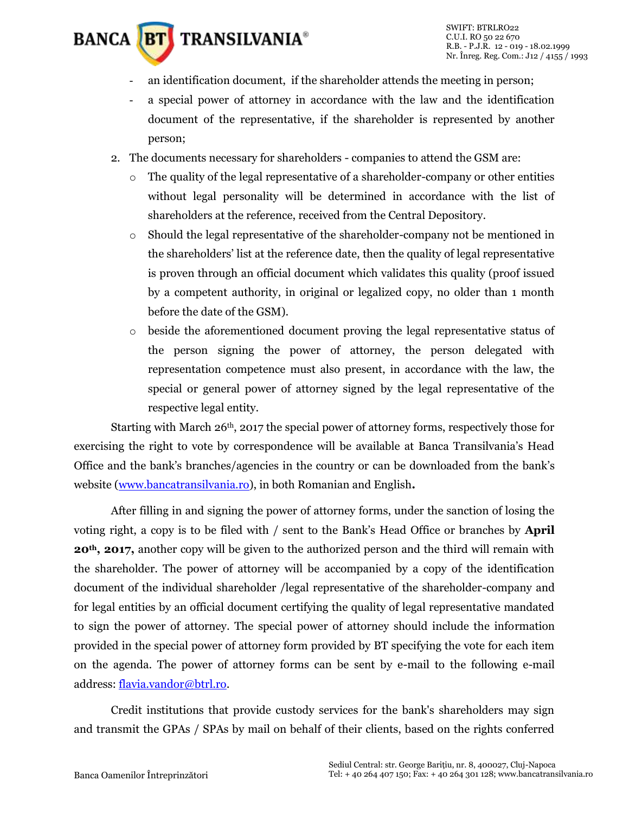## **BANCA BT** TRANSILVANIA<sup>®</sup>

- an identification document, if the shareholder attends the meeting in person;
- a special power of attorney in accordance with the law and the identification document of the representative, if the shareholder is represented by another person;
- 2. The documents necessary for shareholders companies to attend the GSM are:
	- $\circ$  The quality of the legal representative of a shareholder-company or other entities without legal personality will be determined in accordance with the list of shareholders at the reference, received from the Central Depository.
	- o Should the legal representative of the shareholder-company not be mentioned in the shareholders' list at the reference date, then the quality of legal representative is proven through an official document which validates this quality (proof issued by a competent authority, in original or legalized copy, no older than 1 month before the date of the GSM).
	- o beside the aforementioned document proving the legal representative status of the person signing the power of attorney, the person delegated with representation competence must also present, in accordance with the law, the special or general power of attorney signed by the legal representative of the respective legal entity.

Starting with March  $26<sup>th</sup>$ , 2017 the special power of attorney forms, respectively those for exercising the right to vote by correspondence will be available at Banca Transilvania's Head Office and the bank's branches/agencies in the country or can be downloaded from the bank's website [\(www.bancatransilvania.ro\)](http://www.bancatransilvania.ro/), in both Romanian and English**.**

After filling in and signing the power of attorney forms, under the sanction of losing the voting right, a copy is to be filed with / sent to the Bank's Head Office or branches by **April 20th, 2017,** another copy will be given to the authorized person and the third will remain with the shareholder. The power of attorney will be accompanied by a copy of the identification document of the individual shareholder /legal representative of the shareholder-company and for legal entities by an official document certifying the quality of legal representative mandated to sign the power of attorney. The special power of attorney should include the information provided in the special power of attorney form provided by BT specifying the vote for each item on the agenda. The power of attorney forms can be sent by e-mail to the following e-mail address[: flavia.vandor@btrl.ro.](mailto:flavia.vandor@btrl.ro)

Credit institutions that provide custody services for the bank's shareholders may sign and transmit the GPAs / SPAs by mail on behalf of their clients, based on the rights conferred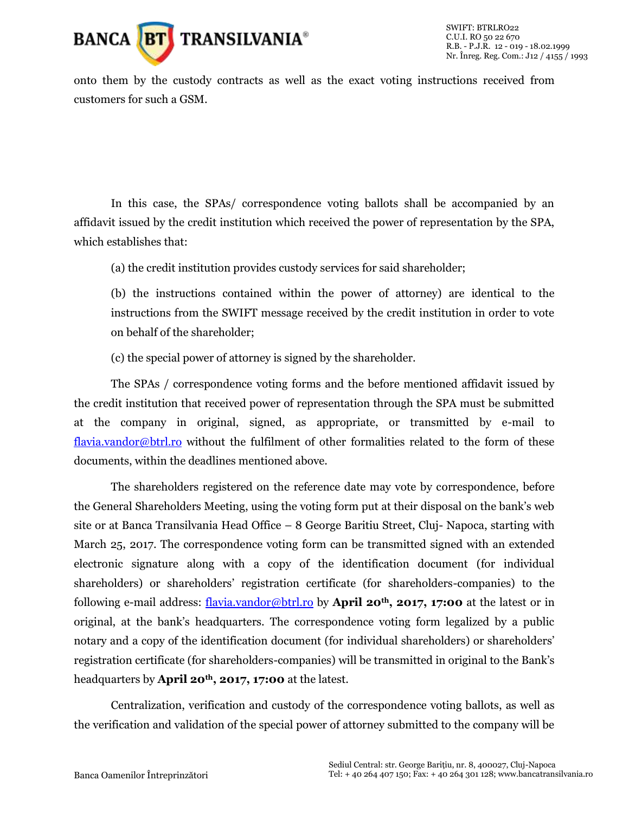

onto them by the custody contracts as well as the exact voting instructions received from customers for such a GSM.

In this case, the SPAs/ correspondence voting ballots shall be accompanied by an affidavit issued by the credit institution which received the power of representation by the SPA, which establishes that:

(a) the credit institution provides custody services for said shareholder;

(b) the instructions contained within the power of attorney) are identical to the instructions from the SWIFT message received by the credit institution in order to vote on behalf of the shareholder;

(c) the special power of attorney is signed by the shareholder.

The SPAs / correspondence voting forms and the before mentioned affidavit issued by the credit institution that received power of representation through the SPA must be submitted at the company in original, signed, as appropriate, or transmitted by e-mail to [flavia.vandor@btrl.ro](mailto:flavia.vandor@btrl.ro) without the fulfilment of other formalities related to the form of these documents, within the deadlines mentioned above.

The shareholders registered on the reference date may vote by correspondence, before the General Shareholders Meeting, using the voting form put at their disposal on the bank's web site or at Banca Transilvania Head Office – 8 George Baritiu Street, Cluj- Napoca, starting with March 25, 2017. The correspondence voting form can be transmitted signed with an extended electronic signature along with a copy of the identification document (for individual shareholders) or shareholders' registration certificate (for shareholders-companies) to the following e-mail address: [flavia.vandor@btrl.ro](mailto:flavia.vandor@btrl.ro) by **April 20th, 2017, 17:00** at the latest or in original, at the bank's headquarters. The correspondence voting form legalized by a public notary and a copy of the identification document (for individual shareholders) or shareholders' registration certificate (for shareholders-companies) will be transmitted in original to the Bank's headquarters by **April 20th, 2017, 17:00** at the latest.

Centralization, verification and custody of the correspondence voting ballots, as well as the verification and validation of the special power of attorney submitted to the company will be